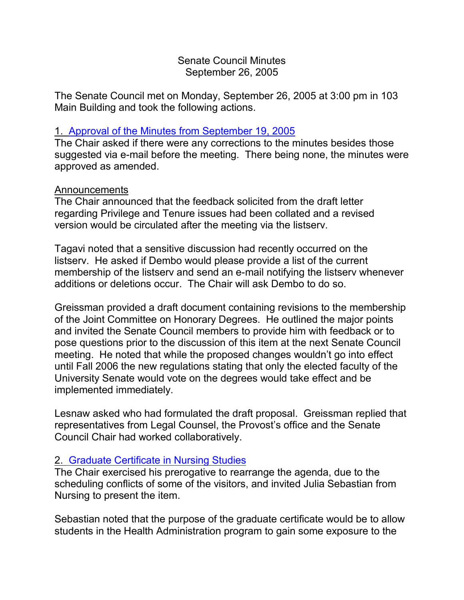#### Senate Council Minutes September 26, 2005

The Senate Council met on Monday, September 26, 2005 at 3:00 pm in 103 Main Building and took the following actions.

### 1. [Approval of the Minutes from](http://www.uky.edu/USC/New/SCMinutes/2005-2006/SC%20Minutes%20September%2019%202005%20FINAL.htm) September 19, 2005

The Chair asked if there were any corrections to the minutes besides those suggested via e-mail before the meeting. There being none, the minutes were approved as amended.

### Announcements

The Chair announced that the feedback solicited from the draft letter regarding Privilege and Tenure issues had been collated and a revised version would be circulated after the meeting via the listserv.

Tagavi noted that a sensitive discussion had recently occurred on the listserv. He asked if Dembo would please provide a list of the current membership of the listserv and send an e-mail notifying the listserv whenever additions or deletions occur. The Chair will ask Dembo to do so.

Greissman provided a draft document containing revisions to the membership of the Joint Committee on Honorary Degrees. He outlined the major points and invited the Senate Council members to provide him with feedback or to pose questions prior to the discussion of this item at the next Senate Council meeting. He noted that while the proposed changes wouldn't go into effect until Fall 2006 the new regulations stating that only the elected faculty of the University Senate would vote on the degrees would take effect and be implemented immediately.

Lesnaw asked who had formulated the draft proposal. Greissman replied that representatives from Legal Counsel, the Provost's office and the Senate Council Chair had worked collaboratively.

### 2. [Graduate Certificate in Nursing Studies](http://www.uky.edu/USC/New/SCAgendas/20050926/Nursing%20Studies%20Certificate.pdf)

The Chair exercised his prerogative to rearrange the agenda, due to the scheduling conflicts of some of the visitors, and invited Julia Sebastian from Nursing to present the item.

Sebastian noted that the purpose of the graduate certificate would be to allow students in the Health Administration program to gain some exposure to the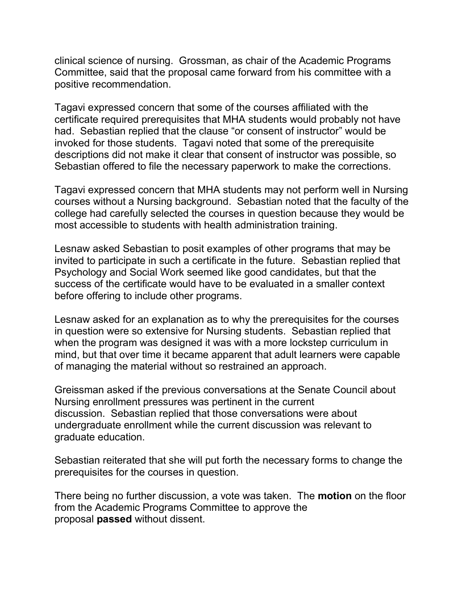clinical science of nursing. Grossman, as chair of the Academic Programs Committee, said that the proposal came forward from his committee with a positive recommendation.

Tagavi expressed concern that some of the courses affiliated with the certificate required prerequisites that MHA students would probably not have had. Sebastian replied that the clause "or consent of instructor" would be invoked for those students. Tagavi noted that some of the prerequisite descriptions did not make it clear that consent of instructor was possible, so Sebastian offered to file the necessary paperwork to make the corrections.

Tagavi expressed concern that MHA students may not perform well in Nursing courses without a Nursing background. Sebastian noted that the faculty of the college had carefully selected the courses in question because they would be most accessible to students with health administration training.

Lesnaw asked Sebastian to posit examples of other programs that may be invited to participate in such a certificate in the future. Sebastian replied that Psychology and Social Work seemed like good candidates, but that the success of the certificate would have to be evaluated in a smaller context before offering to include other programs.

Lesnaw asked for an explanation as to why the prerequisites for the courses in question were so extensive for Nursing students. Sebastian replied that when the program was designed it was with a more lockstep curriculum in mind, but that over time it became apparent that adult learners were capable of managing the material without so restrained an approach.

Greissman asked if the previous conversations at the Senate Council about Nursing enrollment pressures was pertinent in the current discussion. Sebastian replied that those conversations were about undergraduate enrollment while the current discussion was relevant to graduate education.

Sebastian reiterated that she will put forth the necessary forms to change the prerequisites for the courses in question.

There being no further discussion, a vote was taken. The **motion** on the floor from the Academic Programs Committee to approve the proposal **passed** without dissent.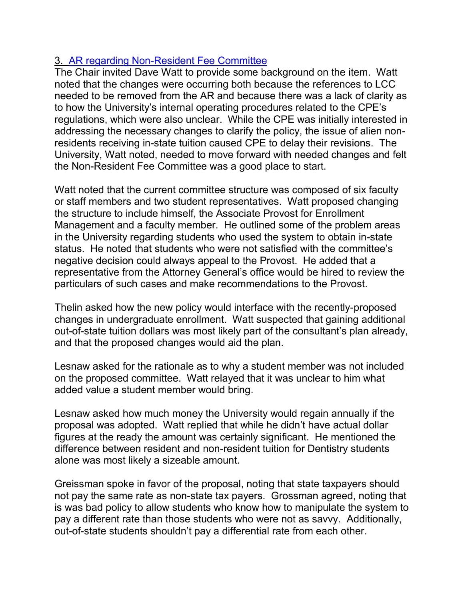# 3. [AR regarding Non-Resident Fee Committee](http://www.uky.edu/USC/New/SCAgendas/20050926/AR%20III-1.1-4.pdf)

The Chair invited Dave Watt to provide some background on the item. Watt noted that the changes were occurring both because the references to LCC needed to be removed from the AR and because there was a lack of clarity as to how the University's internal operating procedures related to the CPE's regulations, which were also unclear. While the CPE was initially interested in addressing the necessary changes to clarify the policy, the issue of alien nonresidents receiving in-state tuition caused CPE to delay their revisions. The University, Watt noted, needed to move forward with needed changes and felt the Non-Resident Fee Committee was a good place to start.

Watt noted that the current committee structure was composed of six faculty or staff members and two student representatives. Watt proposed changing the structure to include himself, the Associate Provost for Enrollment Management and a faculty member. He outlined some of the problem areas in the University regarding students who used the system to obtain in-state status. He noted that students who were not satisfied with the committee's negative decision could always appeal to the Provost. He added that a representative from the Attorney General's office would be hired to review the particulars of such cases and make recommendations to the Provost.

Thelin asked how the new policy would interface with the recently-proposed changes in undergraduate enrollment. Watt suspected that gaining additional out-of-state tuition dollars was most likely part of the consultant's plan already, and that the proposed changes would aid the plan.

Lesnaw asked for the rationale as to why a student member was not included on the proposed committee. Watt relayed that it was unclear to him what added value a student member would bring.

Lesnaw asked how much money the University would regain annually if the proposal was adopted. Watt replied that while he didn't have actual dollar figures at the ready the amount was certainly significant. He mentioned the difference between resident and non-resident tuition for Dentistry students alone was most likely a sizeable amount.

Greissman spoke in favor of the proposal, noting that state taxpayers should not pay the same rate as non-state tax payers. Grossman agreed, noting that is was bad policy to allow students who know how to manipulate the system to pay a different rate than those students who were not as savvy. Additionally, out-of-state students shouldn't pay a differential rate from each other.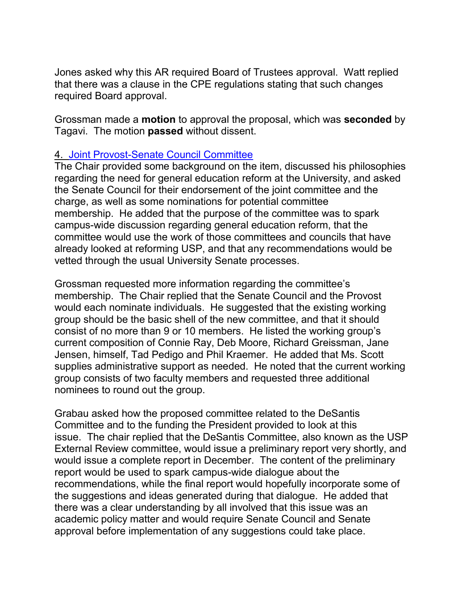Jones asked why this AR required Board of Trustees approval. Watt replied that there was a clause in the CPE regulations stating that such changes required Board approval.

Grossman made a **motion** to approval the proposal, which was **seconded** by Tagavi. The motion **passed** without dissent.

#### 4. [Joint Provost-Senate Council Committee](http://www.uky.edu/USC/New/SCAgendas/20050926/PCCommitteecharge--final%20draft--CLEAN.doc)

The Chair provided some background on the item, discussed his philosophies regarding the need for general education reform at the University, and asked the Senate Council for their endorsement of the joint committee and the charge, as well as some nominations for potential committee membership. He added that the purpose of the committee was to spark campus-wide discussion regarding general education reform, that the committee would use the work of those committees and councils that have already looked at reforming USP, and that any recommendations would be vetted through the usual University Senate processes.

Grossman requested more information regarding the committee's membership. The Chair replied that the Senate Council and the Provost would each nominate individuals. He suggested that the existing working group should be the basic shell of the new committee, and that it should consist of no more than 9 or 10 members. He listed the working group's current composition of Connie Ray, Deb Moore, Richard Greissman, Jane Jensen, himself, Tad Pedigo and Phil Kraemer. He added that Ms. Scott supplies administrative support as needed. He noted that the current working group consists of two faculty members and requested three additional nominees to round out the group.

Grabau asked how the proposed committee related to the DeSantis Committee and to the funding the President provided to look at this issue. The chair replied that the DeSantis Committee, also known as the USP External Review committee, would issue a preliminary report very shortly, and would issue a complete report in December. The content of the preliminary report would be used to spark campus-wide dialogue about the recommendations, while the final report would hopefully incorporate some of the suggestions and ideas generated during that dialogue. He added that there was a clear understanding by all involved that this issue was an academic policy matter and would require Senate Council and Senate approval before implementation of any suggestions could take place.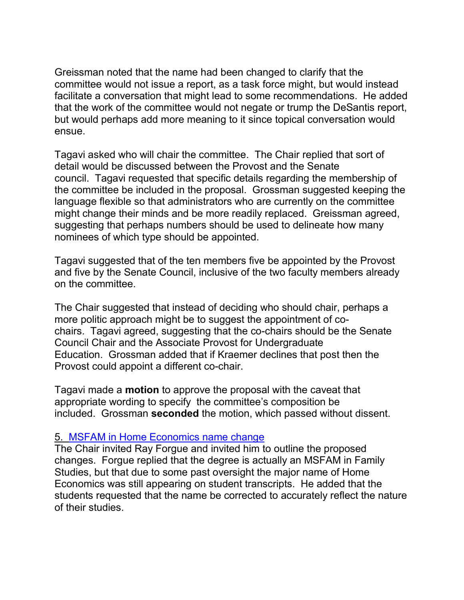Greissman noted that the name had been changed to clarify that the committee would not issue a report, as a task force might, but would instead facilitate a conversation that might lead to some recommendations. He added that the work of the committee would not negate or trump the DeSantis report, but would perhaps add more meaning to it since topical conversation would ensue.

Tagavi asked who will chair the committee. The Chair replied that sort of detail would be discussed between the Provost and the Senate council. Tagavi requested that specific details regarding the membership of the committee be included in the proposal. Grossman suggested keeping the language flexible so that administrators who are currently on the committee might change their minds and be more readily replaced. Greissman agreed, suggesting that perhaps numbers should be used to delineate how many nominees of which type should be appointed.

Tagavi suggested that of the ten members five be appointed by the Provost and five by the Senate Council, inclusive of the two faculty members already on the committee.

The Chair suggested that instead of deciding who should chair, perhaps a more politic approach might be to suggest the appointment of cochairs. Tagavi agreed, suggesting that the co-chairs should be the Senate Council Chair and the Associate Provost for Undergraduate Education. Grossman added that if Kraemer declines that post then the Provost could appoint a different co-chair.

Tagavi made a **motion** to approve the proposal with the caveat that appropriate wording to specify the committee's composition be included. Grossman **seconded** the motion, which passed without dissent.

### 5. [MSFAM in Home Economics name change](http://www.uky.edu/USC/New/SCAgendas/20050926/Family%20Studies%20.pdf)

The Chair invited Ray Forgue and invited him to outline the proposed changes. Forgue replied that the degree is actually an MSFAM in Family Studies, but that due to some past oversight the major name of Home Economics was still appearing on student transcripts. He added that the students requested that the name be corrected to accurately reflect the nature of their studies.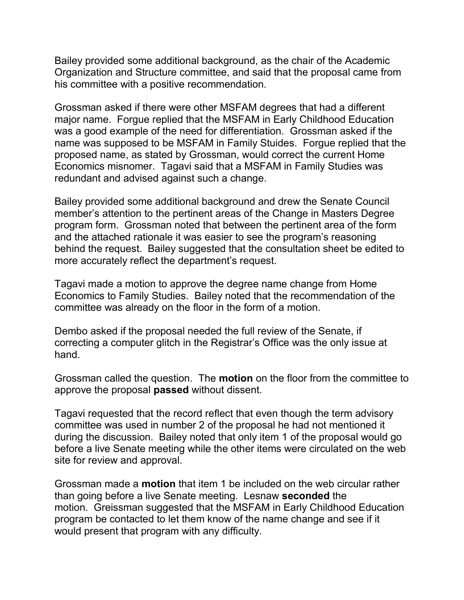Bailey provided some additional background, as the chair of the Academic Organization and Structure committee, and said that the proposal came from his committee with a positive recommendation.

Grossman asked if there were other MSFAM degrees that had a different major name. Forgue replied that the MSFAM in Early Childhood Education was a good example of the need for differentiation. Grossman asked if the name was supposed to be MSFAM in Family Stuides. Forgue replied that the proposed name, as stated by Grossman, would correct the current Home Economics misnomer. Tagavi said that a MSFAM in Family Studies was redundant and advised against such a change.

Bailey provided some additional background and drew the Senate Council member's attention to the pertinent areas of the Change in Masters Degree program form. Grossman noted that between the pertinent area of the form and the attached rationale it was easier to see the program's reasoning behind the request. Bailey suggested that the consultation sheet be edited to more accurately reflect the department's request.

Tagavi made a motion to approve the degree name change from Home Economics to Family Studies. Bailey noted that the recommendation of the committee was already on the floor in the form of a motion.

Dembo asked if the proposal needed the full review of the Senate, if correcting a computer glitch in the Registrar's Office was the only issue at hand.

Grossman called the question. The **motion** on the floor from the committee to approve the proposal **passed** without dissent.

Tagavi requested that the record reflect that even though the term advisory committee was used in number 2 of the proposal he had not mentioned it during the discussion. Bailey noted that only item 1 of the proposal would go before a live Senate meeting while the other items were circulated on the web site for review and approval.

Grossman made a **motion** that item 1 be included on the web circular rather than going before a live Senate meeting. Lesnaw **seconded** the motion. Greissman suggested that the MSFAM in Early Childhood Education program be contacted to let them know of the name change and see if it would present that program with any difficulty.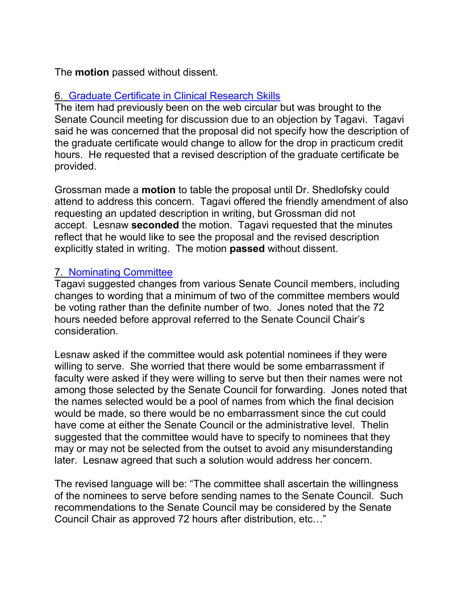The **motion** passed without dissent.

# 6. [Graduate Certificate in Clinical Research Skills](http://www.uky.edu/USC/New/SCAgendas/20050926/Grad%20Certificate%20in%20Clinical%20Research%20Skills.pdf)

The item had previously been on the web circular but was brought to the Senate Council meeting for discussion due to an objection by Tagavi. Tagavi said he was concerned that the proposal did not specify how the description of the graduate certificate would change to allow for the drop in practicum credit hours. He requested that a revised description of the graduate certificate be provided.

Grossman made a **motion** to table the proposal until Dr. Shedlofsky could attend to address this concern. Tagavi offered the friendly amendment of also requesting an updated description in writing, but Grossman did not accept. Lesnaw **seconded** the motion. Tagavi requested that the minutes reflect that he would like to see the proposal and the revised description explicitly stated in writing. The motion **passed** without dissent.

# 7. [Nominating Committee](http://www.uky.edu/USC/New/SCAgendas/20050926/Re%20Nominating%20committee.htm)

Tagavi suggested changes from various Senate Council members, including changes to wording that a minimum of two of the committee members would be voting rather than the definite number of two. Jones noted that the 72 hours needed before approval referred to the Senate Council Chair's consideration.

Lesnaw asked if the committee would ask potential nominees if they were willing to serve. She worried that there would be some embarrassment if faculty were asked if they were willing to serve but then their names were not among those selected by the Senate Council for forwarding. Jones noted that the names selected would be a pool of names from which the final decision would be made, so there would be no embarrassment since the cut could have come at either the Senate Council or the administrative level. Thelin suggested that the committee would have to specify to nominees that they may or may not be selected from the outset to avoid any misunderstanding later. Lesnaw agreed that such a solution would address her concern.

The revised language will be: "The committee shall ascertain the willingness of the nominees to serve before sending names to the Senate Council. Such recommendations to the Senate Council may be considered by the Senate Council Chair as approved 72 hours after distribution, etc…"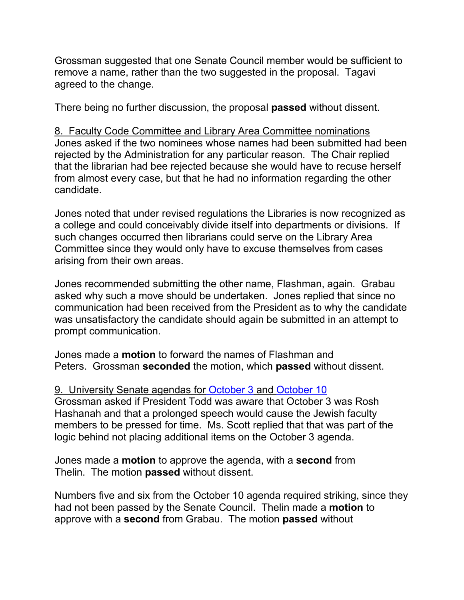Grossman suggested that one Senate Council member would be sufficient to remove a name, rather than the two suggested in the proposal. Tagavi agreed to the change.

There being no further discussion, the proposal **passed** without dissent.

8. Faculty Code Committee and Library Area Committee nominations Jones asked if the two nominees whose names had been submitted had been rejected by the Administration for any particular reason. The Chair replied that the librarian had bee rejected because she would have to recuse herself from almost every case, but that he had no information regarding the other candidate.

Jones noted that under revised regulations the Libraries is now recognized as a college and could conceivably divide itself into departments or divisions. If such changes occurred then librarians could serve on the Library Area Committee since they would only have to excuse themselves from cases arising from their own areas.

Jones recommended submitting the other name, Flashman, again. Grabau asked why such a move should be undertaken. Jones replied that since no communication had been received from the President as to why the candidate was unsatisfactory the candidate should again be submitted in an attempt to prompt communication.

Jones made a **motion** to forward the names of Flashman and Peters. Grossman **seconded** the motion, which **passed** without dissent.

# 9. University Senate agendas for [October 3](http://www.uky.edu/USC/New/SCAgendas/20050926/University%20Senate%20Agenda%20October%203%202005.doc) and [October 10](http://www.uky.edu/USC/New/SCAgendas/20050926/University%20Senate%20Agenda%20October%2010%202005.doc)

Grossman asked if President Todd was aware that October 3 was Rosh Hashanah and that a prolonged speech would cause the Jewish faculty members to be pressed for time. Ms. Scott replied that that was part of the logic behind not placing additional items on the October 3 agenda.

Jones made a **motion** to approve the agenda, with a **second** from Thelin. The motion **passed** without dissent.

Numbers five and six from the October 10 agenda required striking, since they had not been passed by the Senate Council. Thelin made a **motion** to approve with a **second** from Grabau. The motion **passed** without